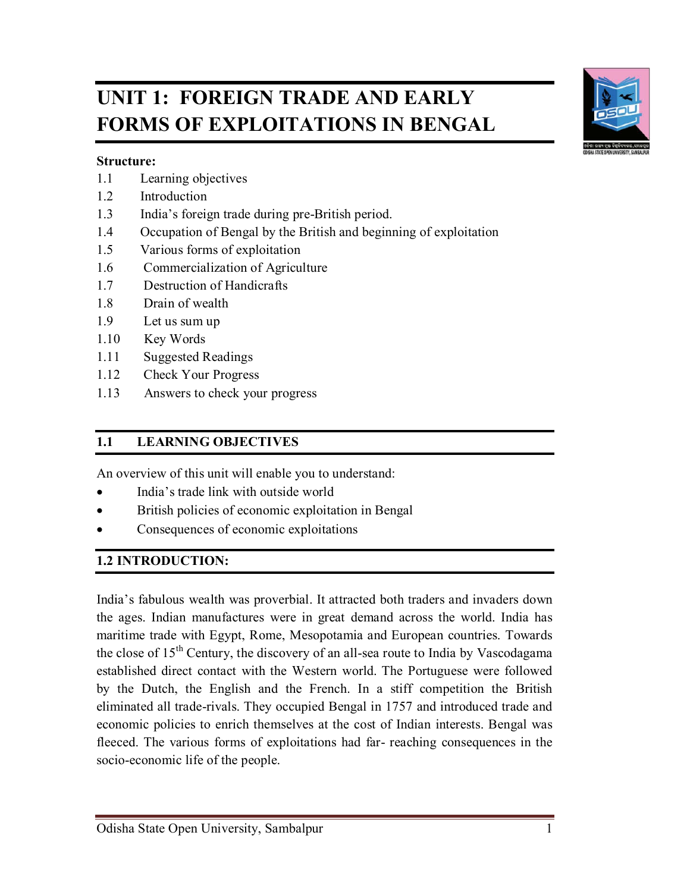# **UNIT 1: FOREIGN TRADE AND EARLY FORMS OF EXPLOITATIONS IN BENGAL**

#### **Structure:**

- 1.1 Learning objectives
- 1.2 Introduction
- 1.3 India's foreign trade during pre-British period.
- 1.4 Occupation of Bengal by the British and beginning of exploitation
- 1.5 Various forms of exploitation
- 1.6 Commercialization of Agriculture
- 1.7 Destruction of Handicrafts
- 1.8 Drain of wealth
- 1.9 Let us sum up
- 1.10 Key Words
- 1.11 Suggested Readings
- 1.12 Check Your Progress
- 1.13 Answers to check your progress

# **1.1 LEARNING OBJECTIVES**

An overview of this unit will enable you to understand:

- India's trade link with outside world
- British policies of economic exploitation in Bengal
- Consequences of economic exploitations

### **1.2 INTRODUCTION:**

India's fabulous wealth was proverbial. It attracted both traders and invaders down the ages. Indian manufactures were in great demand across the world. India has maritime trade with Egypt, Rome, Mesopotamia and European countries. Towards the close of  $15<sup>th</sup>$  Century, the discovery of an all-sea route to India by Vascodagama established direct contact with the Western world. The Portuguese were followed by the Dutch, the English and the French. In a stiff competition the British eliminated all trade-rivals. They occupied Bengal in 1757 and introduced trade and economic policies to enrich themselves at the cost of Indian interests. Bengal was fleeced. The various forms of exploitations had far- reaching consequences in the socio-economic life of the people.

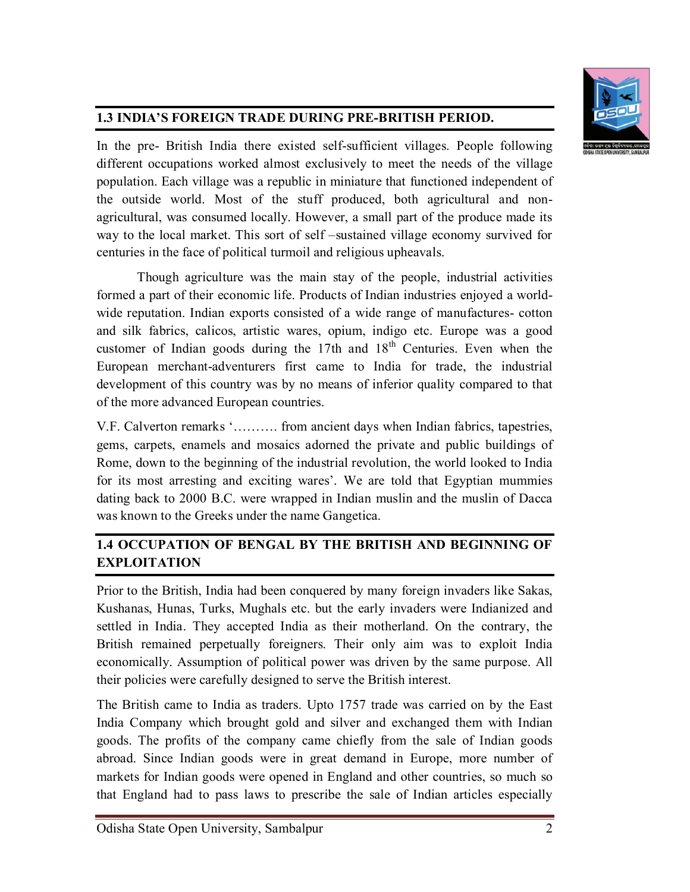

# **1.3 INDIA'S FOREIGN TRADE DURING PRE-BRITISH PERIOD.**

In the pre- British India there existed self-sufficient villages. People following different occupations worked almost exclusively to meet the needs of the village population. Each village was a republic in miniature that functioned independent of the outside world. Most of the stuff produced, both agricultural and nonagricultural, was consumed locally. However, a small part of the produce made its way to the local market. This sort of self –sustained village economy survived for centuries in the face of political turmoil and religious upheavals.

Though agriculture was the main stay of the people, industrial activities formed a part of their economic life. Products of Indian industries enjoyed a worldwide reputation. Indian exports consisted of a wide range of manufactures- cotton and silk fabrics, calicos, artistic wares, opium, indigo etc. Europe was a good customer of Indian goods during the 17th and  $18<sup>th</sup>$  Centuries. Even when the European merchant-adventurers first came to India for trade, the industrial development of this country was by no means of inferior quality compared to that of the more advanced European countries.

V.F. Calverton remarks '………. from ancient days when Indian fabrics, tapestries, gems, carpets, enamels and mosaics adorned the private and public buildings of Rome, down to the beginning of the industrial revolution, the world looked to India for its most arresting and exciting wares'. We are told that Egyptian mummies dating back to 2000 B.C. were wrapped in Indian muslin and the muslin of Dacca was known to the Greeks under the name Gangetica.

# **1.4 OCCUPATION OF BENGAL BY THE BRITISH AND BEGINNING OF EXPLOITATION**

Prior to the British, India had been conquered by many foreign invaders like Sakas, Kushanas, Hunas, Turks, Mughals etc. but the early invaders were Indianized and settled in India. They accepted India as their motherland. On the contrary, the British remained perpetually foreigners. Their only aim was to exploit India economically. Assumption of political power was driven by the same purpose. All their policies were carefully designed to serve the British interest.

The British came to India as traders. Upto 1757 trade was carried on by the East India Company which brought gold and silver and exchanged them with Indian goods. The profits of the company came chiefly from the sale of Indian goods abroad. Since Indian goods were in great demand in Europe, more number of markets for Indian goods were opened in England and other countries, so much so that England had to pass laws to prescribe the sale of Indian articles especially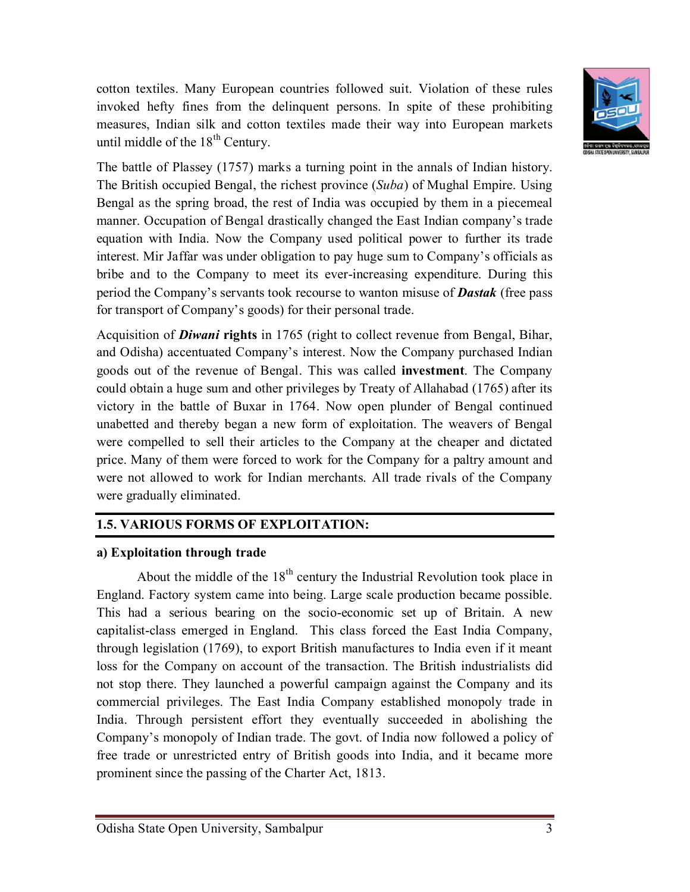

cotton textiles. Many European countries followed suit. Violation of these rules invoked hefty fines from the delinquent persons. In spite of these prohibiting measures, Indian silk and cotton textiles made their way into European markets until middle of the  $18<sup>th</sup>$  Century.

The battle of Plassey (1757) marks a turning point in the annals of Indian history. The British occupied Bengal, the richest province (*Suba*) of Mughal Empire. Using Bengal as the spring broad, the rest of India was occupied by them in a piecemeal manner. Occupation of Bengal drastically changed the East Indian company's trade equation with India. Now the Company used political power to further its trade interest. Mir Jaffar was under obligation to pay huge sum to Company's officials as bribe and to the Company to meet its ever-increasing expenditure. During this period the Company's servants took recourse to wanton misuse of *Dastak* (free pass for transport of Company's goods) for their personal trade.

Acquisition of *Diwani* **rights** in 1765 (right to collect revenue from Bengal, Bihar, and Odisha) accentuated Company's interest. Now the Company purchased Indian goods out of the revenue of Bengal. This was called **investment**. The Company could obtain a huge sum and other privileges by Treaty of Allahabad (1765) after its victory in the battle of Buxar in 1764. Now open plunder of Bengal continued unabetted and thereby began a new form of exploitation. The weavers of Bengal were compelled to sell their articles to the Company at the cheaper and dictated price. Many of them were forced to work for the Company for a paltry amount and were not allowed to work for Indian merchants. All trade rivals of the Company were gradually eliminated.

# **1.5. VARIOUS FORMS OF EXPLOITATION:**

#### **a) Exploitation through trade**

About the middle of the  $18<sup>th</sup>$  century the Industrial Revolution took place in England. Factory system came into being. Large scale production became possible. This had a serious bearing on the socio-economic set up of Britain. A new capitalist-class emerged in England. This class forced the East India Company, through legislation (1769), to export British manufactures to India even if it meant loss for the Company on account of the transaction. The British industrialists did not stop there. They launched a powerful campaign against the Company and its commercial privileges. The East India Company established monopoly trade in India. Through persistent effort they eventually succeeded in abolishing the Company's monopoly of Indian trade. The govt. of India now followed a policy of free trade or unrestricted entry of British goods into India, and it became more prominent since the passing of the Charter Act, 1813.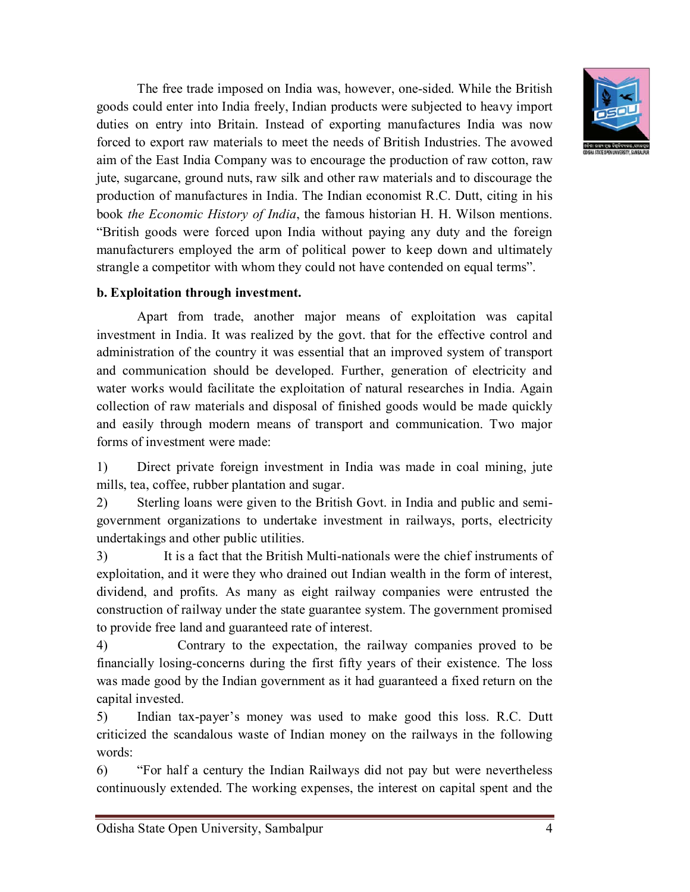

The free trade imposed on India was, however, one-sided. While the British goods could enter into India freely, Indian products were subjected to heavy import duties on entry into Britain. Instead of exporting manufactures India was now forced to export raw materials to meet the needs of British Industries. The avowed aim of the East India Company was to encourage the production of raw cotton, raw jute, sugarcane, ground nuts, raw silk and other raw materials and to discourage the production of manufactures in India. The Indian economist R.C. Dutt, citing in his book *the Economic History of India*, the famous historian H. H. Wilson mentions. "British goods were forced upon India without paying any duty and the foreign manufacturers employed the arm of political power to keep down and ultimately strangle a competitor with whom they could not have contended on equal terms".

#### **b. Exploitation through investment.**

Apart from trade, another major means of exploitation was capital investment in India. It was realized by the govt. that for the effective control and administration of the country it was essential that an improved system of transport and communication should be developed. Further, generation of electricity and water works would facilitate the exploitation of natural researches in India. Again collection of raw materials and disposal of finished goods would be made quickly and easily through modern means of transport and communication. Two major forms of investment were made:

1) Direct private foreign investment in India was made in coal mining, jute mills, tea, coffee, rubber plantation and sugar.

2) Sterling loans were given to the British Govt. in India and public and semigovernment organizations to undertake investment in railways, ports, electricity undertakings and other public utilities.

3) It is a fact that the British Multi-nationals were the chief instruments of exploitation, and it were they who drained out Indian wealth in the form of interest, dividend, and profits. As many as eight railway companies were entrusted the construction of railway under the state guarantee system. The government promised to provide free land and guaranteed rate of interest.

4) Contrary to the expectation, the railway companies proved to be financially losing-concerns during the first fifty years of their existence. The loss was made good by the Indian government as it had guaranteed a fixed return on the capital invested.

5) Indian tax-payer's money was used to make good this loss. R.C. Dutt criticized the scandalous waste of Indian money on the railways in the following words:

6) "For half a century the Indian Railways did not pay but were nevertheless continuously extended. The working expenses, the interest on capital spent and the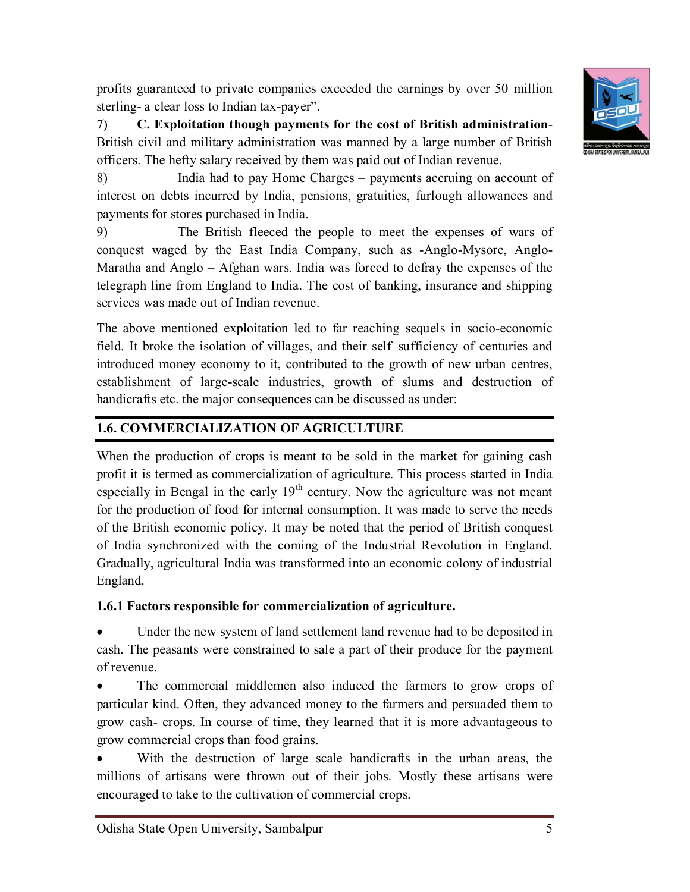

profits guaranteed to private companies exceeded the earnings by over 50 million sterling- a clear loss to Indian tax-payer".

7) **C. Exploitation though payments for the cost of British administration**-British civil and military administration was manned by a large number of British officers. The hefty salary received by them was paid out of Indian revenue.

8) India had to pay Home Charges – payments accruing on account of interest on debts incurred by India, pensions, gratuities, furlough allowances and payments for stores purchased in India.

9) The British fleeced the people to meet the expenses of wars of conquest waged by the East India Company, such as -Anglo-Mysore, Anglo-Maratha and Anglo – Afghan wars. India was forced to defray the expenses of the telegraph line from England to India. The cost of banking, insurance and shipping services was made out of Indian revenue.

The above mentioned exploitation led to far reaching sequels in socio-economic field. It broke the isolation of villages, and their self–sufficiency of centuries and introduced money economy to it, contributed to the growth of new urban centres, establishment of large-scale industries, growth of slums and destruction of handicrafts etc. the major consequences can be discussed as under:

# **1.6. COMMERCIALIZATION OF AGRICULTURE**

When the production of crops is meant to be sold in the market for gaining cash profit it is termed as commercialization of agriculture. This process started in India especially in Bengal in the early  $19<sup>th</sup>$  century. Now the agriculture was not meant for the production of food for internal consumption. It was made to serve the needs of the British economic policy. It may be noted that the period of British conquest of India synchronized with the coming of the Industrial Revolution in England. Gradually, agricultural India was transformed into an economic colony of industrial England.

# **1.6.1 Factors responsible for commercialization of agriculture.**

 Under the new system of land settlement land revenue had to be deposited in cash. The peasants were constrained to sale a part of their produce for the payment of revenue.

 The commercial middlemen also induced the farmers to grow crops of particular kind. Often, they advanced money to the farmers and persuaded them to grow cash- crops. In course of time, they learned that it is more advantageous to grow commercial crops than food grains.

 With the destruction of large scale handicrafts in the urban areas, the millions of artisans were thrown out of their jobs. Mostly these artisans were encouraged to take to the cultivation of commercial crops.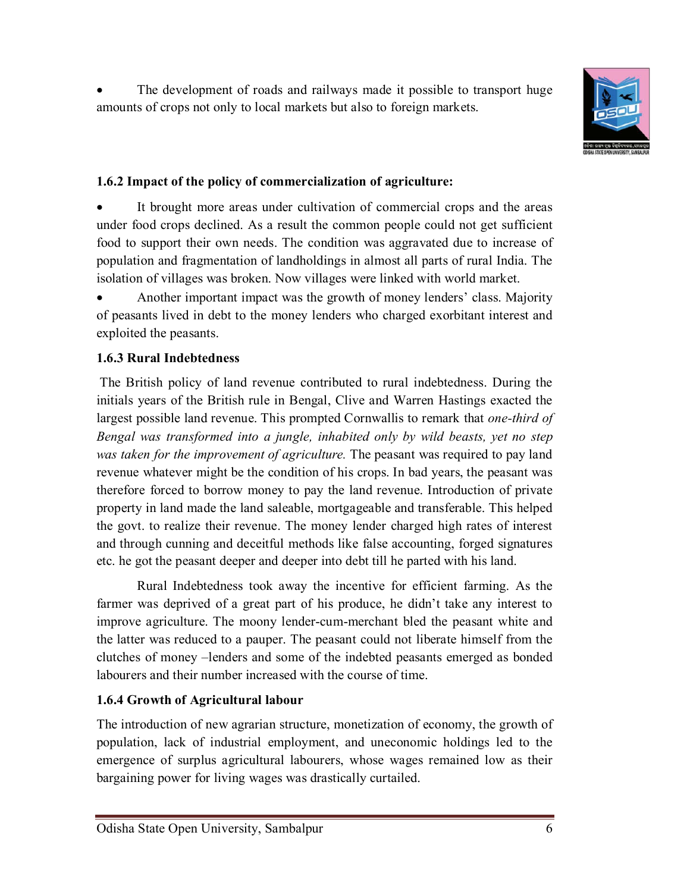The development of roads and railways made it possible to transport huge amounts of crops not only to local markets but also to foreign markets.



# **1.6.2 Impact of the policy of commercialization of agriculture:**

 It brought more areas under cultivation of commercial crops and the areas under food crops declined. As a result the common people could not get sufficient food to support their own needs. The condition was aggravated due to increase of population and fragmentation of landholdings in almost all parts of rural India. The isolation of villages was broken. Now villages were linked with world market.

 Another important impact was the growth of money lenders' class. Majority of peasants lived in debt to the money lenders who charged exorbitant interest and exploited the peasants.

# **1.6.3 Rural Indebtedness**

The British policy of land revenue contributed to rural indebtedness. During the initials years of the British rule in Bengal, Clive and Warren Hastings exacted the largest possible land revenue. This prompted Cornwallis to remark that *one-third of Bengal was transformed into a jungle, inhabited only by wild beasts, yet no step was taken for the improvement of agriculture.* The peasant was required to pay land revenue whatever might be the condition of his crops. In bad years, the peasant was therefore forced to borrow money to pay the land revenue. Introduction of private property in land made the land saleable, mortgageable and transferable. This helped the govt. to realize their revenue. The money lender charged high rates of interest and through cunning and deceitful methods like false accounting, forged signatures etc. he got the peasant deeper and deeper into debt till he parted with his land.

Rural Indebtedness took away the incentive for efficient farming. As the farmer was deprived of a great part of his produce, he didn't take any interest to improve agriculture. The moony lender-cum-merchant bled the peasant white and the latter was reduced to a pauper. The peasant could not liberate himself from the clutches of money –lenders and some of the indebted peasants emerged as bonded labourers and their number increased with the course of time.

# **1.6.4 Growth of Agricultural labour**

The introduction of new agrarian structure, monetization of economy, the growth of population, lack of industrial employment, and uneconomic holdings led to the emergence of surplus agricultural labourers, whose wages remained low as their bargaining power for living wages was drastically curtailed.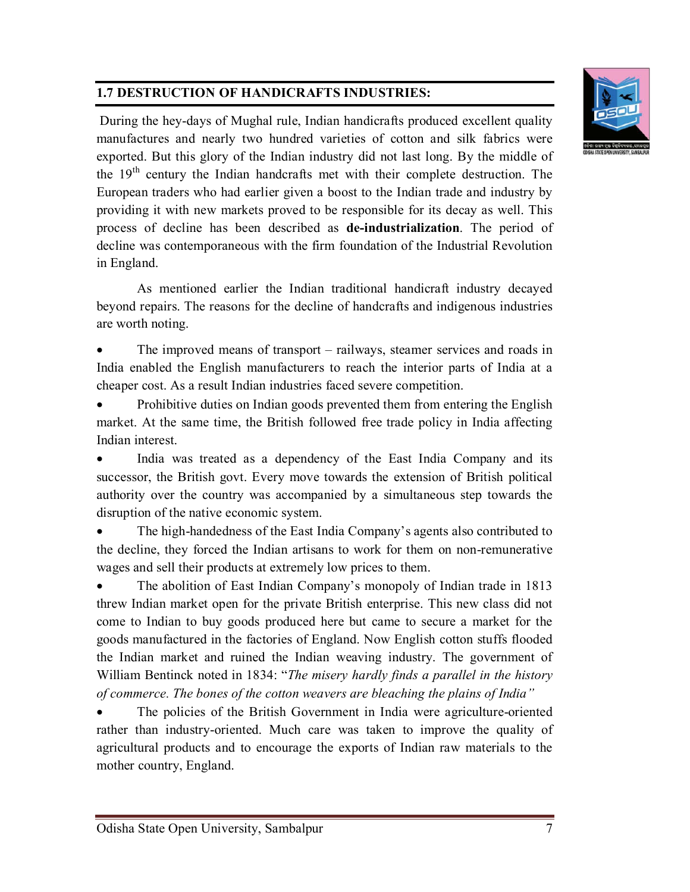# **1.7 DESTRUCTION OF HANDICRAFTS INDUSTRIES:**



During the hey-days of Mughal rule, Indian handicrafts produced excellent quality manufactures and nearly two hundred varieties of cotton and silk fabrics were exported. But this glory of the Indian industry did not last long. By the middle of the 19<sup>th</sup> century the Indian handcrafts met with their complete destruction. The European traders who had earlier given a boost to the Indian trade and industry by providing it with new markets proved to be responsible for its decay as well. This process of decline has been described as **de-industrialization**. The period of decline was contemporaneous with the firm foundation of the Industrial Revolution in England.

As mentioned earlier the Indian traditional handicraft industry decayed beyond repairs. The reasons for the decline of handcrafts and indigenous industries are worth noting.

 The improved means of transport – railways, steamer services and roads in India enabled the English manufacturers to reach the interior parts of India at a cheaper cost. As a result Indian industries faced severe competition.

 Prohibitive duties on Indian goods prevented them from entering the English market. At the same time, the British followed free trade policy in India affecting Indian interest.

 India was treated as a dependency of the East India Company and its successor, the British govt. Every move towards the extension of British political authority over the country was accompanied by a simultaneous step towards the disruption of the native economic system.

 The high-handedness of the East India Company's agents also contributed to the decline, they forced the Indian artisans to work for them on non-remunerative wages and sell their products at extremely low prices to them.

 The abolition of East Indian Company's monopoly of Indian trade in 1813 threw Indian market open for the private British enterprise. This new class did not come to Indian to buy goods produced here but came to secure a market for the goods manufactured in the factories of England. Now English cotton stuffs flooded the Indian market and ruined the Indian weaving industry. The government of William Bentinck noted in 1834: "*The misery hardly finds a parallel in the history of commerce. The bones of the cotton weavers are bleaching the plains of India"*

 The policies of the British Government in India were agriculture-oriented rather than industry-oriented. Much care was taken to improve the quality of agricultural products and to encourage the exports of Indian raw materials to the mother country, England.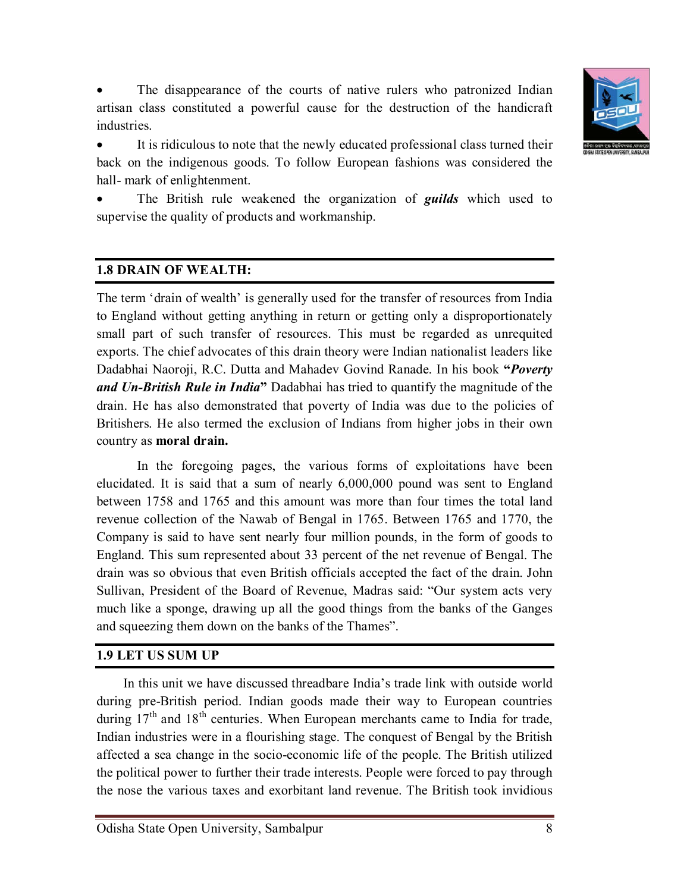

 The disappearance of the courts of native rulers who patronized Indian artisan class constituted a powerful cause for the destruction of the handicraft industries.

 It is ridiculous to note that the newly educated professional class turned their back on the indigenous goods. To follow European fashions was considered the hall- mark of enlightenment.

 The British rule weakened the organization of *guilds* which used to supervise the quality of products and workmanship.

#### **1.8 DRAIN OF WEALTH:**

The term 'drain of wealth' is generally used for the transfer of resources from India to England without getting anything in return or getting only a disproportionately small part of such transfer of resources. This must be regarded as unrequited exports. The chief advocates of this drain theory were Indian nationalist leaders like Dadabhai Naoroji, R.C. Dutta and Mahadev Govind Ranade. In his book **"***Poverty and Un-British Rule in India***"** Dadabhai has tried to quantify the magnitude of the drain. He has also demonstrated that poverty of India was due to the policies of Britishers. He also termed the exclusion of Indians from higher jobs in their own country as **moral drain.**

In the foregoing pages, the various forms of exploitations have been elucidated. It is said that a sum of nearly 6,000,000 pound was sent to England between 1758 and 1765 and this amount was more than four times the total land revenue collection of the Nawab of Bengal in 1765. Between 1765 and 1770, the Company is said to have sent nearly four million pounds, in the form of goods to England. This sum represented about 33 percent of the net revenue of Bengal. The drain was so obvious that even British officials accepted the fact of the drain. John Sullivan, President of the Board of Revenue, Madras said: "Our system acts very much like a sponge, drawing up all the good things from the banks of the Ganges and squeezing them down on the banks of the Thames".

#### **1.9 LET US SUM UP**

In this unit we have discussed threadbare India's trade link with outside world during pre-British period. Indian goods made their way to European countries during  $17<sup>th</sup>$  and  $18<sup>th</sup>$  centuries. When European merchants came to India for trade, Indian industries were in a flourishing stage. The conquest of Bengal by the British affected a sea change in the socio-economic life of the people. The British utilized the political power to further their trade interests. People were forced to pay through the nose the various taxes and exorbitant land revenue. The British took invidious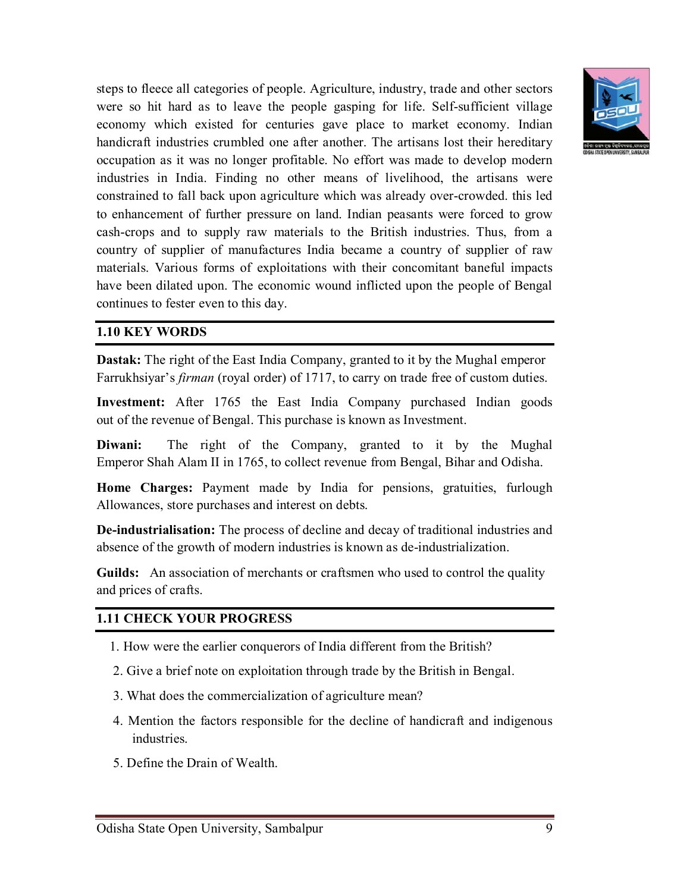

steps to fleece all categories of people. Agriculture, industry, trade and other sectors were so hit hard as to leave the people gasping for life. Self-sufficient village economy which existed for centuries gave place to market economy. Indian handicraft industries crumbled one after another. The artisans lost their hereditary occupation as it was no longer profitable. No effort was made to develop modern industries in India. Finding no other means of livelihood, the artisans were constrained to fall back upon agriculture which was already over-crowded. this led to enhancement of further pressure on land. Indian peasants were forced to grow cash-crops and to supply raw materials to the British industries. Thus, from a country of supplier of manufactures India became a country of supplier of raw materials. Various forms of exploitations with their concomitant baneful impacts have been dilated upon. The economic wound inflicted upon the people of Bengal continues to fester even to this day.

#### **1.10 KEY WORDS**

**Dastak:** The right of the East India Company, granted to it by the Mughal emperor Farrukhsiyar's *firman* (royal order) of 1717, to carry on trade free of custom duties.

**Investment:** After 1765 the East India Company purchased Indian goods out of the revenue of Bengal. This purchase is known as Investment.

**Diwani:** The right of the Company, granted to it by the Mughal Emperor Shah Alam II in 1765, to collect revenue from Bengal, Bihar and Odisha.

**Home Charges:** Payment made by India for pensions, gratuities, furlough Allowances, store purchases and interest on debts.

**De-industrialisation:** The process of decline and decay of traditional industries and absence of the growth of modern industries is known as de-industrialization.

**Guilds:** An association of merchants or craftsmen who used to control the quality and prices of crafts.

#### **1.11 CHECK YOUR PROGRESS**

- 1. How were the earlier conquerors of India different from the British?
- 2. Give a brief note on exploitation through trade by the British in Bengal.
- 3. What does the commercialization of agriculture mean?
- 4. Mention the factors responsible for the decline of handicraft and indigenous industries.
- 5. Define the Drain of Wealth.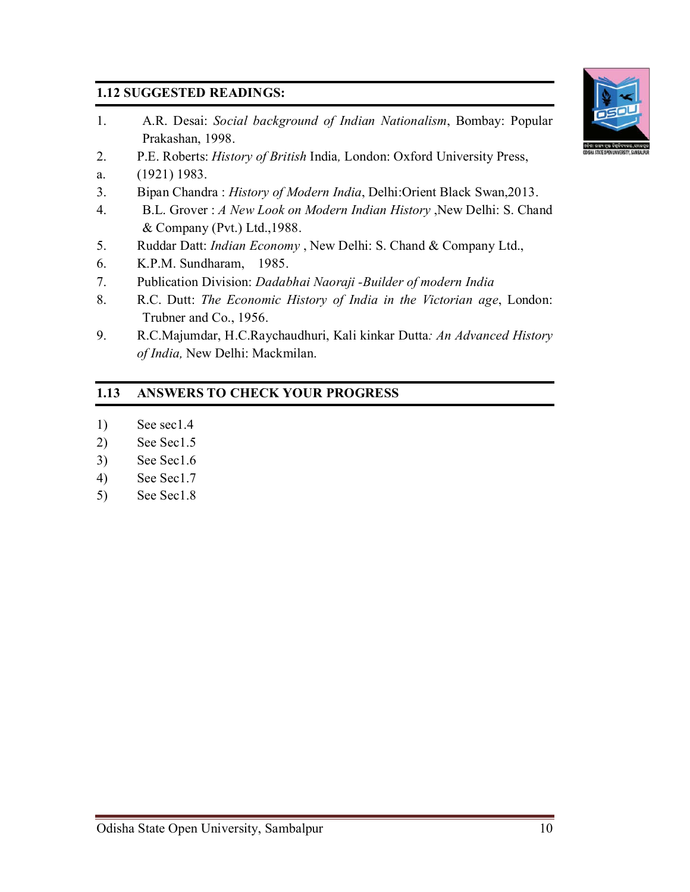# **1.12 SUGGESTED READINGS:**

- 1. A.R. Desai: *Social background of Indian Nationalism*, Bombay: Popular Prakashan, 1998.
- 2. P.E. Roberts: *History of British* India*,* London: Oxford University Press,
- a. (1921) 1983.
- 3. Bipan Chandra : *History of Modern India*, Delhi:Orient Black Swan,2013.
- 4. B.L. Grover : *A New Look on Modern Indian History* ,New Delhi: S. Chand & Company (Pvt.) Ltd.,1988.
- 5. Ruddar Datt: *Indian Economy* , New Delhi: S. Chand & Company Ltd.,
- 6. K.P.M. Sundharam, 1985.
- 7. Publication Division: *Dadabhai Naoraji -Builder of modern India*
- 8. R.C. Dutt: *The Economic History of India in the Victorian age*, London: Trubner and Co., 1956.
- 9. R.C.Majumdar, H.C.Raychaudhuri, Kali kinkar Dutta*: An Advanced History of India,* New Delhi: Mackmilan.

# **1.13 ANSWERS TO CHECK YOUR PROGRESS**

- 1) See sec1.4
- 2) See Sec1.5
- 3) See Sec1.6
- 4) See Sec1.7
- 5) See Sec1.8



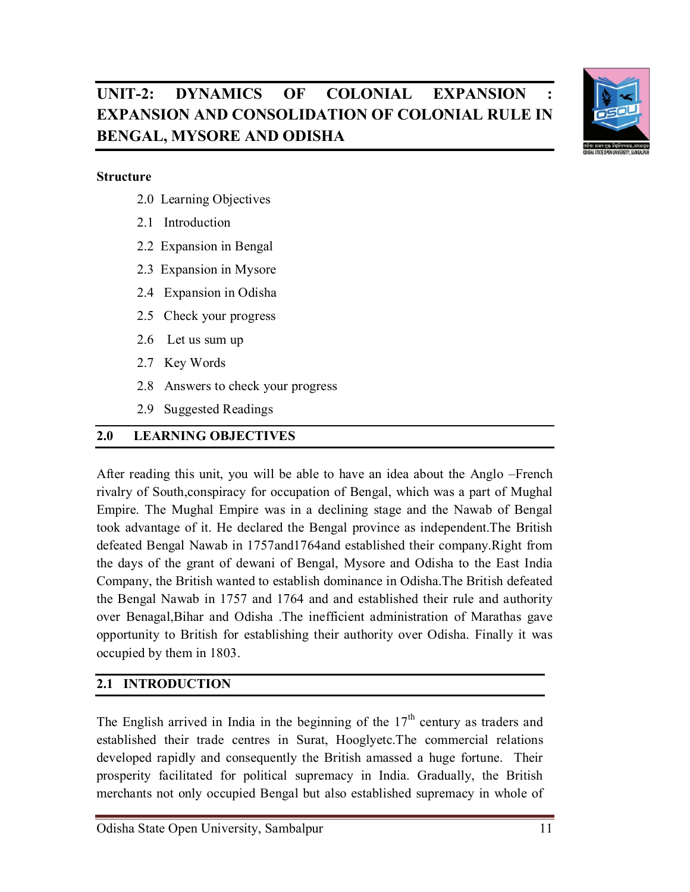

# UNIT-2: DYNAMICS OF COLONIAL EXPANSION **EXPANSION AND CONSOLIDATION OF COLONIAL RULE IN BENGAL, MYSORE AND ODISHA**

#### **Structure**

- 2.0 Learning Objectives
- 2.1 Introduction
- 2.2 Expansion in Bengal
- 2.3 Expansion in Mysore
- 2.4 Expansion in Odisha
- 2.5 Check your progress
- 2.6 Let us sum up
- 2.7 Key Words
- 2.8 Answers to check your progress
- 2.9 Suggested Readings

#### **2.0 LEARNING OBJECTIVES**

After reading this unit, you will be able to have an idea about the Anglo –French rivalry of South,conspiracy for occupation of Bengal, which was a part of Mughal Empire. The Mughal Empire was in a declining stage and the Nawab of Bengal took advantage of it. He declared the Bengal province as independent.The British defeated Bengal Nawab in 1757and1764and established their company.Right from the days of the grant of dewani of Bengal, Mysore and Odisha to the East India Company, the British wanted to establish dominance in Odisha.The British defeated the Bengal Nawab in 1757 and 1764 and and established their rule and authority over Benagal,Bihar and Odisha .The inefficient administration of Marathas gave opportunity to British for establishing their authority over Odisha. Finally it was occupied by them in 1803.

### **2.1 INTRODUCTION**

The English arrived in India in the beginning of the  $17<sup>th</sup>$  century as traders and established their trade centres in Surat, Hooglyetc.The commercial relations developed rapidly and consequently the British amassed a huge fortune. Their prosperity facilitated for political supremacy in India. Gradually, the British merchants not only occupied Bengal but also established supremacy in whole of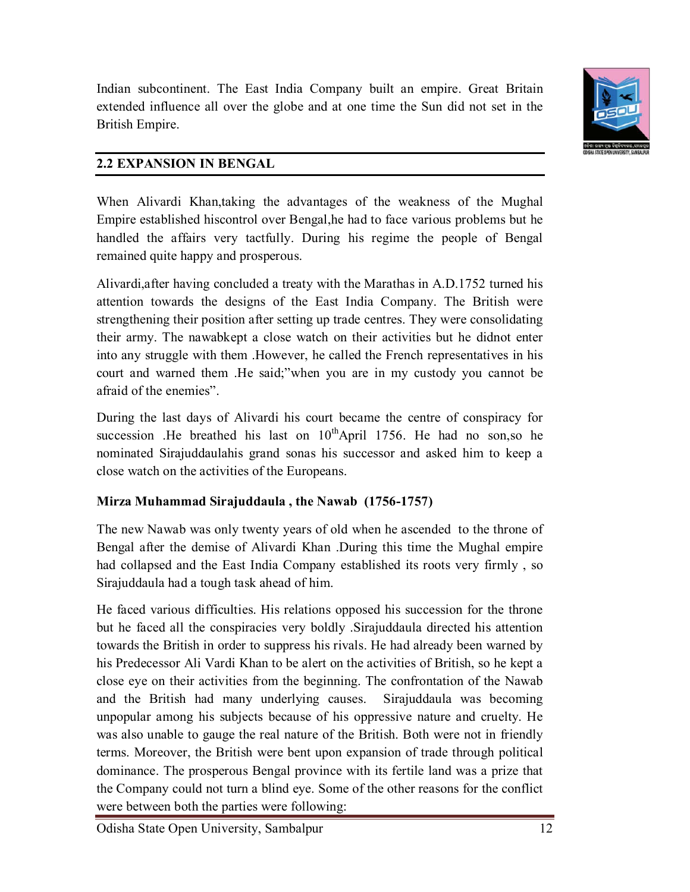

Indian subcontinent. The East India Company built an empire. Great Britain extended influence all over the globe and at one time the Sun did not set in the British Empire.

# **2.2 EXPANSION IN BENGAL**

When Alivardi Khan,taking the advantages of the weakness of the Mughal Empire established hiscontrol over Bengal,he had to face various problems but he handled the affairs very tactfully. During his regime the people of Bengal remained quite happy and prosperous.

Alivardi,after having concluded a treaty with the Marathas in A.D.1752 turned his attention towards the designs of the East India Company. The British were strengthening their position after setting up trade centres. They were consolidating their army. The nawabkept a close watch on their activities but he didnot enter into any struggle with them .However, he called the French representatives in his court and warned them .He said;"when you are in my custody you cannot be afraid of the enemies".

During the last days of Alivardi his court became the centre of conspiracy for succession .He breathed his last on  $10^{th}$ April 1756. He had no son,so he nominated Sirajuddaulahis grand sonas his successor and asked him to keep a close watch on the activities of the Europeans.

# **Mirza Muhammad Sirajuddaula , the Nawab (1756-1757)**

The new Nawab was only twenty years of old when he ascended to the throne of Bengal after the demise of Alivardi Khan .During this time the Mughal empire had collapsed and the East India Company established its roots very firmly , so Sirajuddaula had a tough task ahead of him.

He faced various difficulties. His relations opposed his succession for the throne but he faced all the conspiracies very boldly .Sirajuddaula directed his attention towards the British in order to suppress his rivals. He had already been warned by his Predecessor Ali Vardi Khan to be alert on the activities of British, so he kept a close eye on their activities from the beginning. The confrontation of the Nawab and the British had many underlying causes. Sirajuddaula was becoming unpopular among his subjects because of his oppressive nature and cruelty. He was also unable to gauge the real nature of the British. Both were not in friendly terms. Moreover, the British were bent upon expansion of trade through political dominance. The prosperous Bengal province with its fertile land was a prize that the Company could not turn a blind eye. Some of the other reasons for the conflict were between both the parties were following: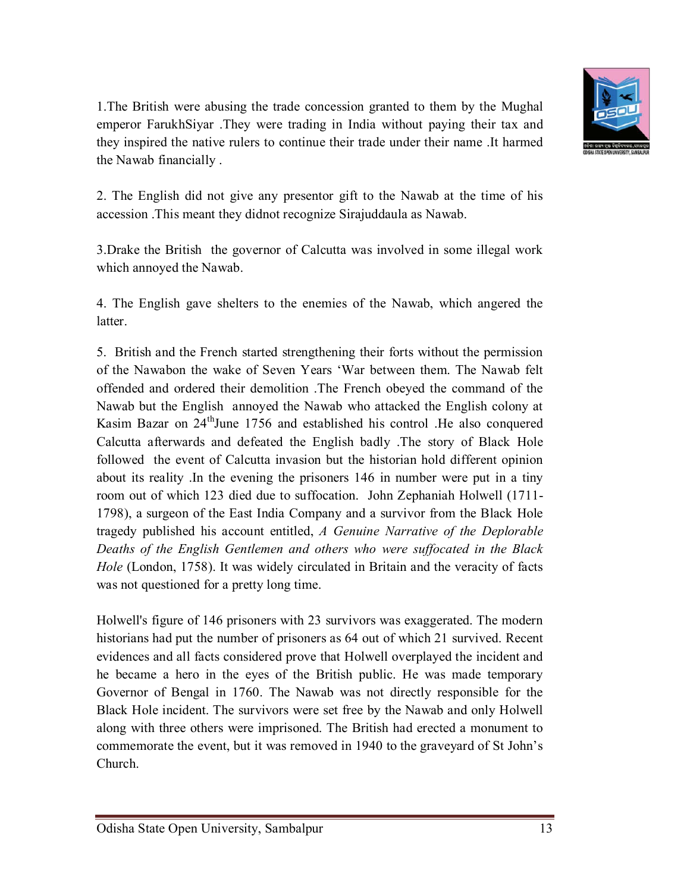

1.The British were abusing the trade concession granted to them by the Mughal emperor FarukhSiyar .They were trading in India without paying their tax and they inspired the native rulers to continue their trade under their name .It harmed the Nawab financially .

2. The English did not give any presentor gift to the Nawab at the time of his accession .This meant they didnot recognize Sirajuddaula as Nawab.

3.Drake the British the governor of Calcutta was involved in some illegal work which annoyed the Nawab.

4. The English gave shelters to the enemies of the Nawab, which angered the latter.

5. British and the French started strengthening their forts without the permission of the Nawabon the wake of Seven Years 'War between them. The Nawab felt offended and ordered their demolition .The French obeyed the command of the Nawab but the English annoyed the Nawab who attacked the English colony at Kasim Bazar on 24<sup>th</sup>June 1756 and established his control .He also conquered Calcutta afterwards and defeated the English badly .The story of Black Hole followed the event of Calcutta invasion but the historian hold different opinion about its reality .In the evening the prisoners 146 in number were put in a tiny room out of which 123 died due to suffocation. John Zephaniah Holwell (1711- 1798), a surgeon of the East India Company and a survivor from the Black Hole tragedy published his account entitled, *A Genuine Narrative of the Deplorable Deaths of the English Gentlemen and others who were suffocated in the Black Hole* (London, 1758). It was widely circulated in Britain and the veracity of facts was not questioned for a pretty long time.

Holwell's figure of 146 prisoners with 23 survivors was exaggerated. The modern historians had put the number of prisoners as 64 out of which 21 survived. Recent evidences and all facts considered prove that Holwell overplayed the incident and he became a hero in the eyes of the British public. He was made temporary Governor of Bengal in 1760. The Nawab was not directly responsible for the Black Hole incident. The survivors were set free by the Nawab and only Holwell along with three others were imprisoned. The British had erected a monument to commemorate the event, but it was removed in 1940 to the graveyard of St John's Church.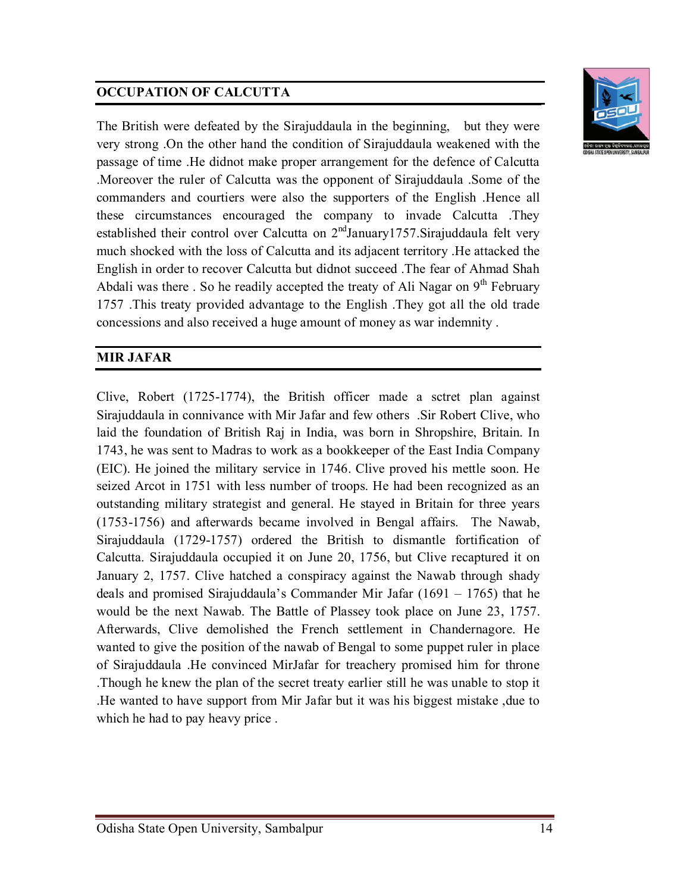# **OCCUPATION OF CALCUTTA**

The British were defeated by the Sirajuddaula in the beginning, but they were very strong .On the other hand the condition of Sirajuddaula weakened with the passage of time .He didnot make proper arrangement for the defence of Calcutta .Moreover the ruler of Calcutta was the opponent of Sirajuddaula .Some of the commanders and courtiers were also the supporters of the English .Hence all these circumstances encouraged the company to invade Calcutta .They established their control over Calcutta on  $2<sup>nd</sup>$ January1757.Sirajuddaula felt very much shocked with the loss of Calcutta and its adjacent territory .He attacked the English in order to recover Calcutta but didnot succeed .The fear of Ahmad Shah Abdali was there . So he readily accepted the treaty of Ali Nagar on  $9<sup>th</sup>$  February 1757 .This treaty provided advantage to the English .They got all the old trade concessions and also received a huge amount of money as war indemnity .

#### **MIR JAFAR**

Clive, Robert (1725-1774), the British officer made a sctret plan against Sirajuddaula in connivance with Mir Jafar and few others .Sir Robert Clive, who laid the foundation of British Raj in India, was born in Shropshire, Britain. In 1743, he was sent to Madras to work as a bookkeeper of the East India Company (EIC). He joined the military service in 1746. Clive proved his mettle soon. He seized Arcot in 1751 with less number of troops. He had been recognized as an outstanding military strategist and general. He stayed in Britain for three years (1753-1756) and afterwards became involved in Bengal affairs. The Nawab, Sirajuddaula (1729-1757) ordered the British to dismantle fortification of Calcutta. Sirajuddaula occupied it on June 20, 1756, but Clive recaptured it on January 2, 1757. Clive hatched a conspiracy against the Nawab through shady deals and promised Sirajuddaula's Commander Mir Jafar (1691 – 1765) that he would be the next Nawab. The Battle of Plassey took place on June 23, 1757. Afterwards, Clive demolished the French settlement in Chandernagore. He wanted to give the position of the nawab of Bengal to some puppet ruler in place of Sirajuddaula .He convinced MirJafar for treachery promised him for throne .Though he knew the plan of the secret treaty earlier still he was unable to stop it .He wanted to have support from Mir Jafar but it was his biggest mistake ,due to which he had to pay heavy price .

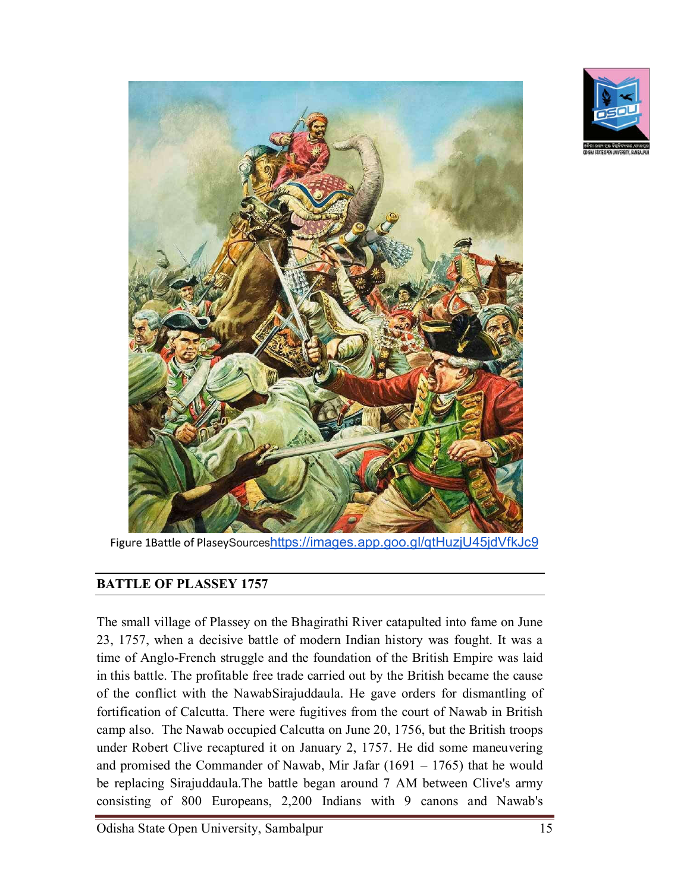



Figure 1Battle of PlaseySourceshttps://images.app.goo.gl/qtHuzjU45jdVfkJc9

#### **BATTLE OF PLASSEY 1757**

The small village of Plassey on the Bhagirathi River catapulted into fame on June 23, 1757, when a decisive battle of modern Indian history was fought. It was a time of Anglo-French struggle and the foundation of the British Empire was laid in this battle. The profitable free trade carried out by the British became the cause of the conflict with the NawabSirajuddaula. He gave orders for dismantling of fortification of Calcutta. There were fugitives from the court of Nawab in British camp also. The Nawab occupied Calcutta on June 20, 1756, but the British troops under Robert Clive recaptured it on January 2, 1757. He did some maneuvering and promised the Commander of Nawab, Mir Jafar  $(1691 - 1765)$  that he would be replacing Sirajuddaula.The battle began around 7 AM between Clive's army consisting of 800 Europeans, 2,200 Indians with 9 canons and Nawab's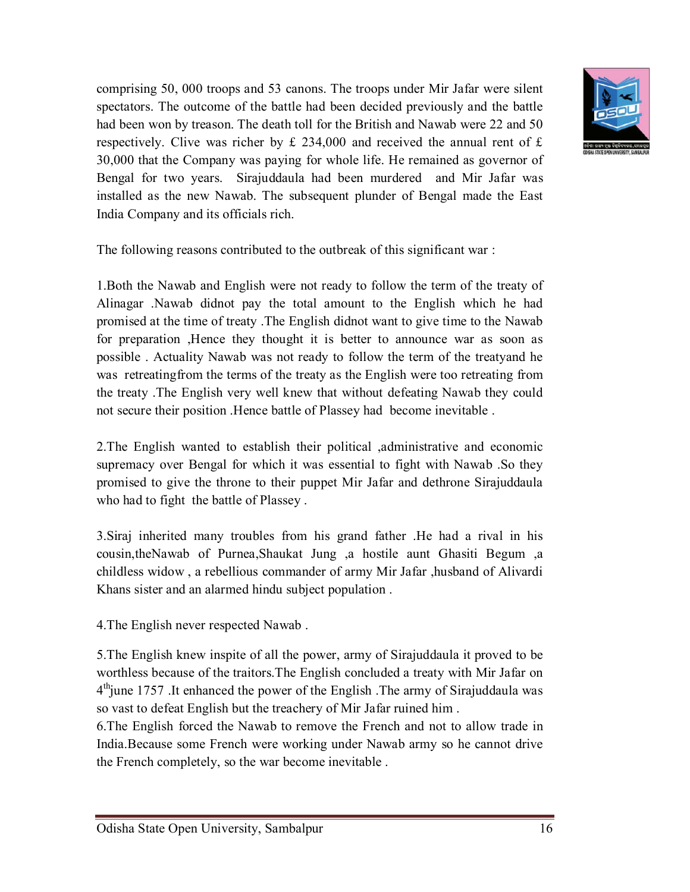comprising 50, 000 troops and 53 canons. The troops under Mir Jafar were silent spectators. The outcome of the battle had been decided previously and the battle had been won by treason. The death toll for the British and Nawab were 22 and 50 respectively. Clive was richer by  $\pounds$  234,000 and received the annual rent of  $\pounds$ 30,000 that the Company was paying for whole life. He remained as governor of Bengal for two years. Sirajuddaula had been murdered and Mir Jafar was installed as the new Nawab. The subsequent plunder of Bengal made the East India Company and its officials rich.



The following reasons contributed to the outbreak of this significant war :

1.Both the Nawab and English were not ready to follow the term of the treaty of Alinagar .Nawab didnot pay the total amount to the English which he had promised at the time of treaty .The English didnot want to give time to the Nawab for preparation ,Hence they thought it is better to announce war as soon as possible . Actuality Nawab was not ready to follow the term of the treatyand he was retreatingfrom the terms of the treaty as the English were too retreating from the treaty .The English very well knew that without defeating Nawab they could not secure their position .Hence battle of Plassey had become inevitable .

2.The English wanted to establish their political ,administrative and economic supremacy over Bengal for which it was essential to fight with Nawab .So they promised to give the throne to their puppet Mir Jafar and dethrone Sirajuddaula who had to fight the battle of Plassey .

3.Siraj inherited many troubles from his grand father .He had a rival in his cousin,theNawab of Purnea,Shaukat Jung ,a hostile aunt Ghasiti Begum ,a childless widow , a rebellious commander of army Mir Jafar ,husband of Alivardi Khans sister and an alarmed hindu subject population .

4.The English never respected Nawab .

5.The English knew inspite of all the power, army of Sirajuddaula it proved to be worthless because of the traitors.The English concluded a treaty with Mir Jafar on 4<sup>th</sup>june 1757. It enhanced the power of the English . The army of Sirajuddaula was so vast to defeat English but the treachery of Mir Jafar ruined him .

6.The English forced the Nawab to remove the French and not to allow trade in India.Because some French were working under Nawab army so he cannot drive the French completely, so the war become inevitable .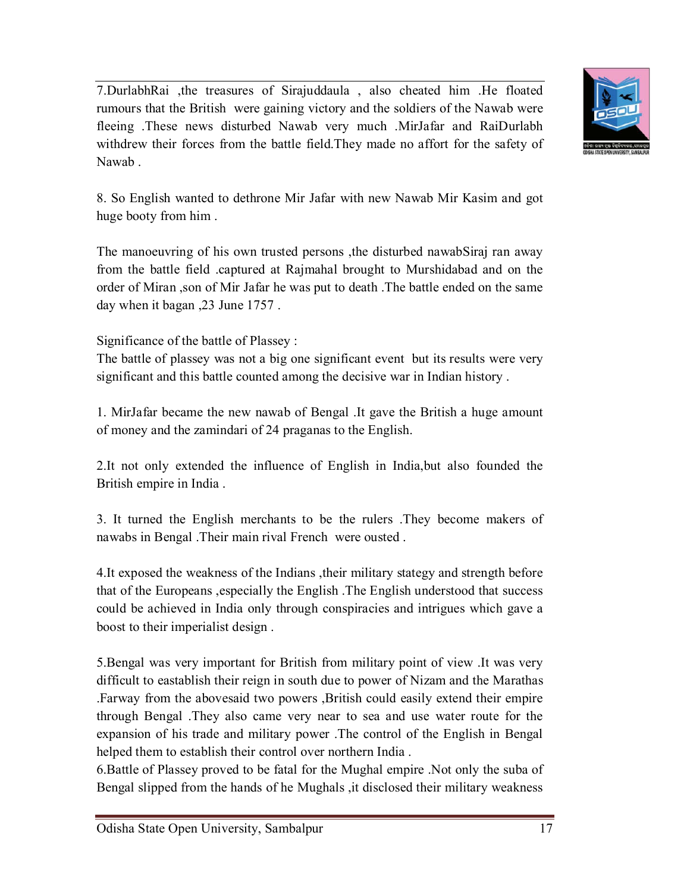7.DurlabhRai ,the treasures of Sirajuddaula , also cheated him .He floated rumours that the British were gaining victory and the soldiers of the Nawab were fleeing .These news disturbed Nawab very much .MirJafar and RaiDurlabh withdrew their forces from the battle field.They made no affort for the safety of Nawab .



8. So English wanted to dethrone Mir Jafar with new Nawab Mir Kasim and got huge booty from him .

The manoeuvring of his own trusted persons ,the disturbed nawabSiraj ran away from the battle field .captured at Rajmahal brought to Murshidabad and on the order of Miran ,son of Mir Jafar he was put to death .The battle ended on the same day when it bagan ,23 June 1757 .

Significance of the battle of Plassey :

The battle of plassey was not a big one significant event but its results were very significant and this battle counted among the decisive war in Indian history .

1. MirJafar became the new nawab of Bengal .It gave the British a huge amount of money and the zamindari of 24 praganas to the English.

2.It not only extended the influence of English in India,but also founded the British empire in India .

3. It turned the English merchants to be the rulers .They become makers of nawabs in Bengal .Their main rival French were ousted .

4.It exposed the weakness of the Indians ,their military stategy and strength before that of the Europeans ,especially the English .The English understood that success could be achieved in India only through conspiracies and intrigues which gave a boost to their imperialist design .

5.Bengal was very important for British from military point of view .It was very difficult to eastablish their reign in south due to power of Nizam and the Marathas .Farway from the abovesaid two powers ,British could easily extend their empire through Bengal .They also came very near to sea and use water route for the expansion of his trade and military power .The control of the English in Bengal helped them to establish their control over northern India .

6.Battle of Plassey proved to be fatal for the Mughal empire .Not only the suba of Bengal slipped from the hands of he Mughals ,it disclosed their military weakness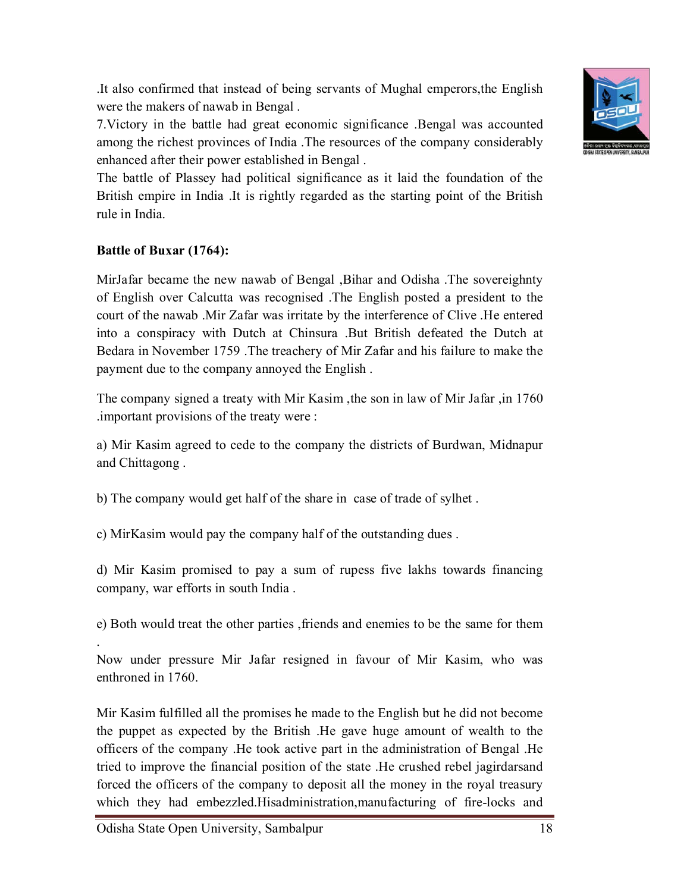Odisha State Open University, Sambalpur 18

.It also confirmed that instead of being servants of Mughal emperors,the English were the makers of nawab in Bengal .

7.Victory in the battle had great economic significance .Bengal was accounted among the richest provinces of India .The resources of the company considerably enhanced after their power established in Bengal .

The battle of Plassey had political significance as it laid the foundation of the British empire in India .It is rightly regarded as the starting point of the British rule in India.

# **Battle of Buxar (1764):**

.

MirJafar became the new nawab of Bengal ,Bihar and Odisha .The sovereighnty of English over Calcutta was recognised .The English posted a president to the court of the nawab .Mir Zafar was irritate by the interference of Clive .He entered into a conspiracy with Dutch at Chinsura .But British defeated the Dutch at Bedara in November 1759 .The treachery of Mir Zafar and his failure to make the payment due to the company annoyed the English .

The company signed a treaty with Mir Kasim ,the son in law of Mir Jafar ,in 1760 .important provisions of the treaty were :

a) Mir Kasim agreed to cede to the company the districts of Burdwan, Midnapur and Chittagong .

b) The company would get half of the share in case of trade of sylhet .

c) MirKasim would pay the company half of the outstanding dues .

d) Mir Kasim promised to pay a sum of rupess five lakhs towards financing company, war efforts in south India .

e) Both would treat the other parties ,friends and enemies to be the same for them

Now under pressure Mir Jafar resigned in favour of Mir Kasim, who was enthroned in 1760.

Mir Kasim fulfilled all the promises he made to the English but he did not become the puppet as expected by the British .He gave huge amount of wealth to the officers of the company .He took active part in the administration of Bengal .He tried to improve the financial position of the state .He crushed rebel jagirdarsand forced the officers of the company to deposit all the money in the royal treasury which they had embezzled.Hisadministration,manufacturing of fire-locks and

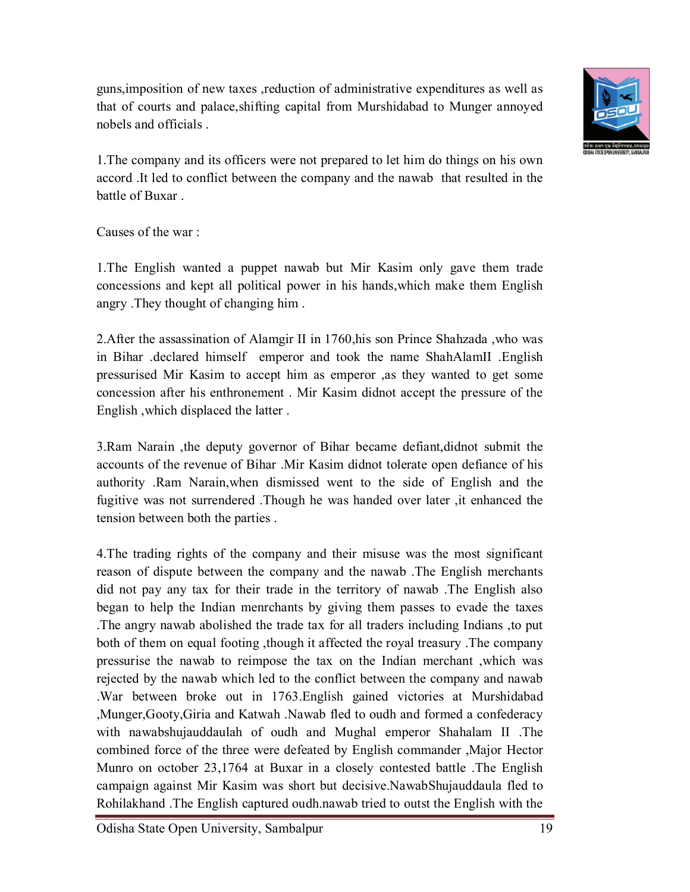guns,imposition of new taxes ,reduction of administrative expenditures as well as that of courts and palace,shifting capital from Murshidabad to Munger annoyed nobels and officials .



1.The company and its officers were not prepared to let him do things on his own accord .It led to conflict between the company and the nawab that resulted in the battle of Buxar .

Causes of the war :

1.The English wanted a puppet nawab but Mir Kasim only gave them trade concessions and kept all political power in his hands,which make them English angry .They thought of changing him .

2.After the assassination of Alamgir II in 1760,his son Prince Shahzada ,who was in Bihar .declared himself emperor and took the name ShahAlamII .English pressurised Mir Kasim to accept him as emperor ,as they wanted to get some concession after his enthronement . Mir Kasim didnot accept the pressure of the English ,which displaced the latter .

3.Ram Narain ,the deputy governor of Bihar became defiant,didnot submit the accounts of the revenue of Bihar .Mir Kasim didnot tolerate open defiance of his authority .Ram Narain,when dismissed went to the side of English and the fugitive was not surrendered .Though he was handed over later ,it enhanced the tension between both the parties .

4.The trading rights of the company and their misuse was the most significant reason of dispute between the company and the nawab .The English merchants did not pay any tax for their trade in the territory of nawab .The English also began to help the Indian menrchants by giving them passes to evade the taxes .The angry nawab abolished the trade tax for all traders including Indians ,to put both of them on equal footing ,though it affected the royal treasury .The company pressurise the nawab to reimpose the tax on the Indian merchant ,which was rejected by the nawab which led to the conflict between the company and nawab .War between broke out in 1763.English gained victories at Murshidabad ,Munger,Gooty,Giria and Katwah .Nawab fled to oudh and formed a confederacy with nawabshujauddaulah of oudh and Mughal emperor Shahalam II .The combined force of the three were defeated by English commander ,Major Hector Munro on october 23,1764 at Buxar in a closely contested battle .The English campaign against Mir Kasim was short but decisive.NawabShujauddaula fled to Rohilakhand .The English captured oudh.nawab tried to outst the English with the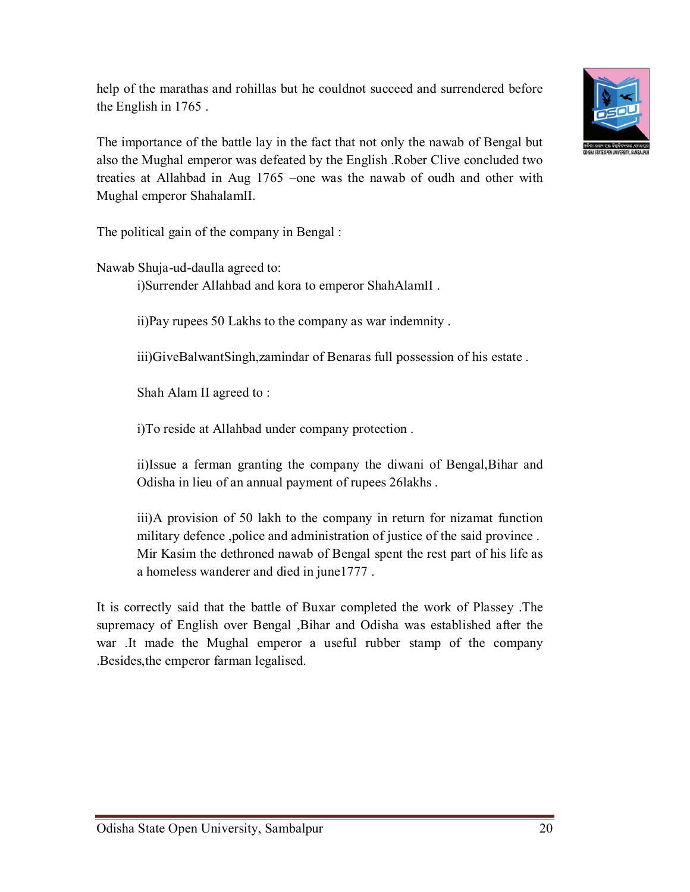help of the marathas and rohillas but he couldnot succeed and surrendered before the English in 1765 .



The importance of the battle lay in the fact that not only the nawab of Bengal but also the Mughal emperor was defeated by the English .Rober Clive concluded two treaties at Allahbad in Aug 1765 –one was the nawab of oudh and other with Mughal emperor ShahalamII.

The political gain of the company in Bengal :

Nawab Shuja-ud-daulla agreed to:

i)Surrender Allahbad and kora to emperor ShahAlamII .

ii)Pay rupees 50 Lakhs to the company as war indemnity .

iii)GiveBalwantSingh,zamindar of Benaras full possession of his estate .

Shah Alam II agreed to :

i)To reside at Allahbad under company protection .

ii)Issue a ferman granting the company the diwani of Bengal,Bihar and Odisha in lieu of an annual payment of rupees 26lakhs .

iii)A provision of 50 lakh to the company in return for nizamat function military defence ,police and administration of justice of the said province . Mir Kasim the dethroned nawab of Bengal spent the rest part of his life as a homeless wanderer and died in june1777 .

It is correctly said that the battle of Buxar completed the work of Plassey .The supremacy of English over Bengal ,Bihar and Odisha was established after the war .It made the Mughal emperor a useful rubber stamp of the company .Besides,the emperor farman legalised.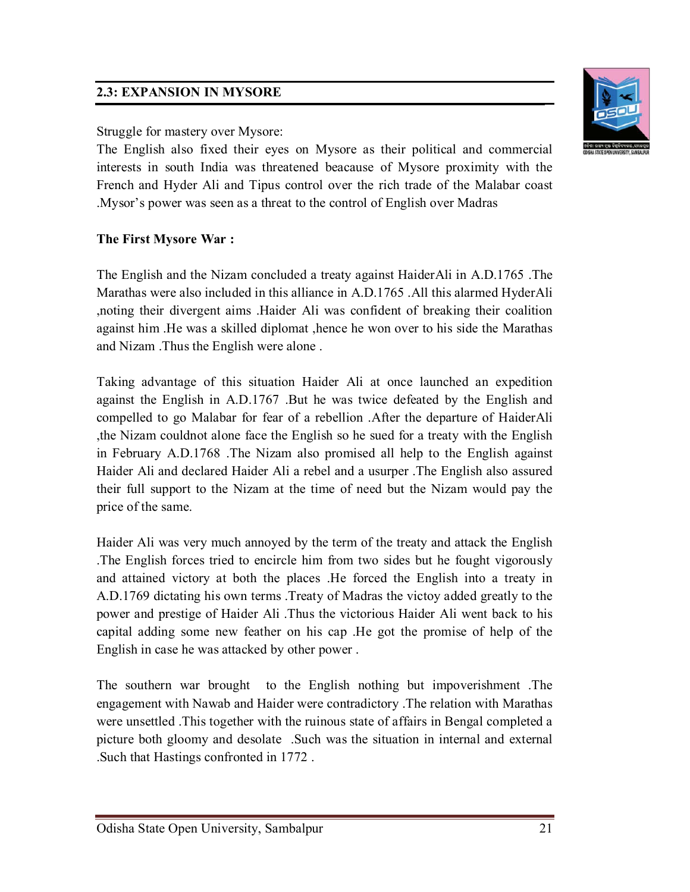### **2.3: EXPANSION IN MYSORE**

#### Struggle for mastery over Mysore:

The English also fixed their eyes on Mysore as their political and commercial interests in south India was threatened beacause of Mysore proximity with the French and Hyder Ali and Tipus control over the rich trade of the Malabar coast .Mysor's power was seen as a threat to the control of English over Madras

# **The First Mysore War :**

The English and the Nizam concluded a treaty against HaiderAli in A.D.1765 .The Marathas were also included in this alliance in A.D.1765 .All this alarmed HyderAli ,noting their divergent aims .Haider Ali was confident of breaking their coalition against him .He was a skilled diplomat ,hence he won over to his side the Marathas and Nizam .Thus the English were alone .

Taking advantage of this situation Haider Ali at once launched an expedition against the English in A.D.1767 .But he was twice defeated by the English and compelled to go Malabar for fear of a rebellion .After the departure of HaiderAli ,the Nizam couldnot alone face the English so he sued for a treaty with the English in February A.D.1768 .The Nizam also promised all help to the English against Haider Ali and declared Haider Ali a rebel and a usurper .The English also assured their full support to the Nizam at the time of need but the Nizam would pay the price of the same.

Haider Ali was very much annoyed by the term of the treaty and attack the English .The English forces tried to encircle him from two sides but he fought vigorously and attained victory at both the places .He forced the English into a treaty in A.D.1769 dictating his own terms .Treaty of Madras the victoy added greatly to the power and prestige of Haider Ali .Thus the victorious Haider Ali went back to his capital adding some new feather on his cap .He got the promise of help of the English in case he was attacked by other power .

The southern war brought to the English nothing but impoverishment .The engagement with Nawab and Haider were contradictory .The relation with Marathas were unsettled .This together with the ruinous state of affairs in Bengal completed a picture both gloomy and desolate .Such was the situation in internal and external .Such that Hastings confronted in 1772 .

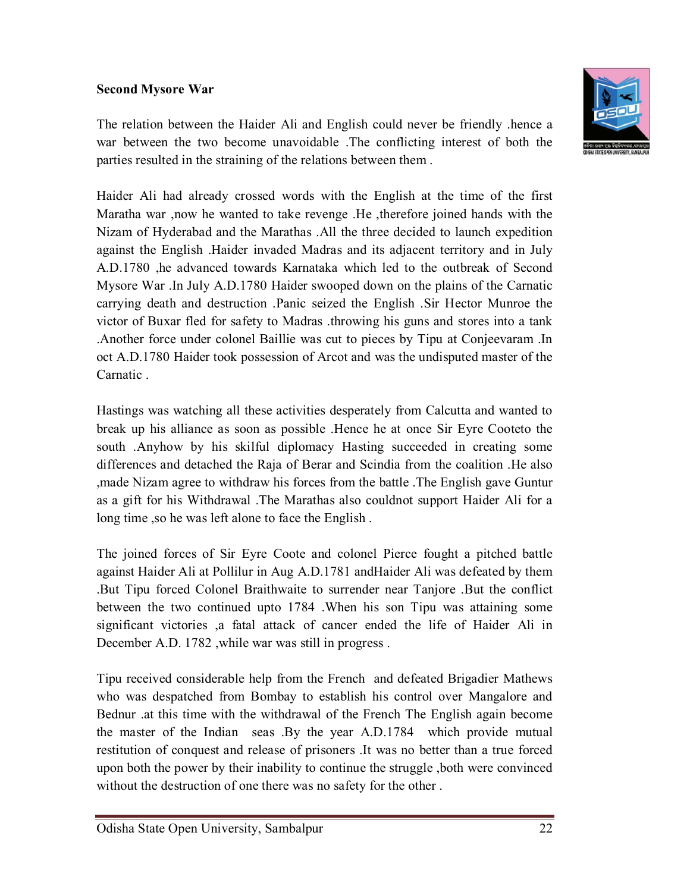#### **Second Mysore War**



The relation between the Haider Ali and English could never be friendly .hence a war between the two become unavoidable .The conflicting interest of both the parties resulted in the straining of the relations between them .

Haider Ali had already crossed words with the English at the time of the first Maratha war ,now he wanted to take revenge .He ,therefore joined hands with the Nizam of Hyderabad and the Marathas .All the three decided to launch expedition against the English .Haider invaded Madras and its adjacent territory and in July A.D.1780 ,he advanced towards Karnataka which led to the outbreak of Second Mysore War .In July A.D.1780 Haider swooped down on the plains of the Carnatic carrying death and destruction .Panic seized the English .Sir Hector Munroe the victor of Buxar fled for safety to Madras .throwing his guns and stores into a tank .Another force under colonel Baillie was cut to pieces by Tipu at Conjeevaram .In oct A.D.1780 Haider took possession of Arcot and was the undisputed master of the Carnatic .

Hastings was watching all these activities desperately from Calcutta and wanted to break up his alliance as soon as possible .Hence he at once Sir Eyre Cooteto the south .Anyhow by his skilful diplomacy Hasting succeeded in creating some differences and detached the Raja of Berar and Scindia from the coalition .He also ,made Nizam agree to withdraw his forces from the battle .The English gave Guntur as a gift for his Withdrawal .The Marathas also couldnot support Haider Ali for a long time ,so he was left alone to face the English .

The joined forces of Sir Eyre Coote and colonel Pierce fought a pitched battle against Haider Ali at Pollilur in Aug A.D.1781 andHaider Ali was defeated by them .But Tipu forced Colonel Braithwaite to surrender near Tanjore .But the conflict between the two continued upto 1784 .When his son Tipu was attaining some significant victories ,a fatal attack of cancer ended the life of Haider Ali in December A.D. 1782 ,while war was still in progress .

Tipu received considerable help from the French and defeated Brigadier Mathews who was despatched from Bombay to establish his control over Mangalore and Bednur .at this time with the withdrawal of the French The English again become the master of the Indian seas .By the year A.D.1784 which provide mutual restitution of conquest and release of prisoners .It was no better than a true forced upon both the power by their inability to continue the struggle ,both were convinced without the destruction of one there was no safety for the other .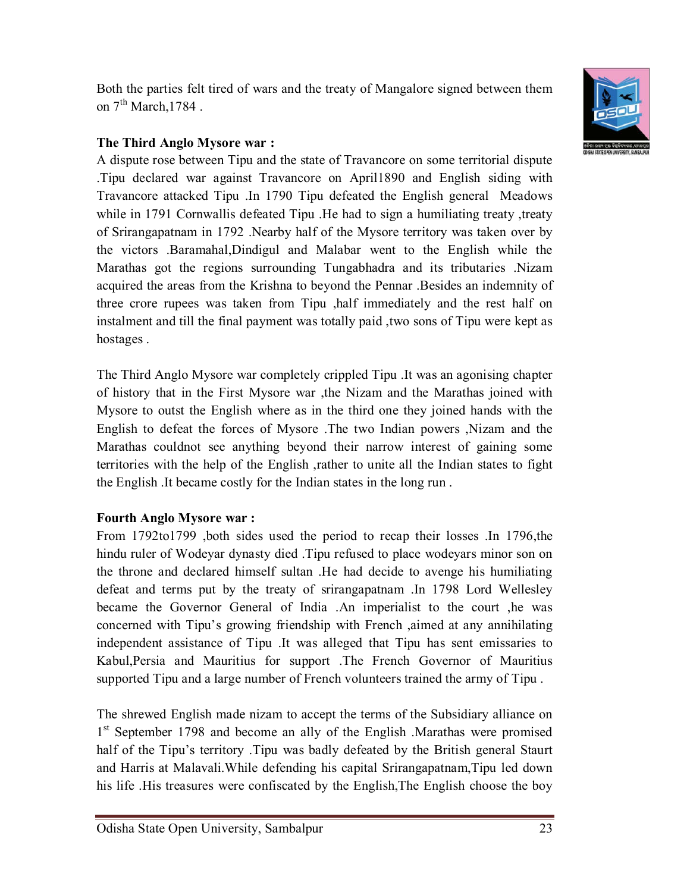Both the parties felt tired of wars and the treaty of Mangalore signed between them on  $7<sup>th</sup> March, 1784$ .



### **The Third Anglo Mysore war :**

A dispute rose between Tipu and the state of Travancore on some territorial dispute .Tipu declared war against Travancore on April1890 and English siding with Travancore attacked Tipu .In 1790 Tipu defeated the English general Meadows while in 1791 Cornwallis defeated Tipu . He had to sign a humiliating treaty, treaty of Srirangapatnam in 1792 .Nearby half of the Mysore territory was taken over by the victors .Baramahal,Dindigul and Malabar went to the English while the Marathas got the regions surrounding Tungabhadra and its tributaries .Nizam acquired the areas from the Krishna to beyond the Pennar .Besides an indemnity of three crore rupees was taken from Tipu ,half immediately and the rest half on instalment and till the final payment was totally paid ,two sons of Tipu were kept as hostages .

The Third Anglo Mysore war completely crippled Tipu .It was an agonising chapter of history that in the First Mysore war ,the Nizam and the Marathas joined with Mysore to outst the English where as in the third one they joined hands with the English to defeat the forces of Mysore .The two Indian powers ,Nizam and the Marathas couldnot see anything beyond their narrow interest of gaining some territories with the help of the English ,rather to unite all the Indian states to fight the English .It became costly for the Indian states in the long run .

#### **Fourth Anglo Mysore war :**

From 1792to1799 ,both sides used the period to recap their losses .In 1796,the hindu ruler of Wodeyar dynasty died .Tipu refused to place wodeyars minor son on the throne and declared himself sultan .He had decide to avenge his humiliating defeat and terms put by the treaty of srirangapatnam .In 1798 Lord Wellesley became the Governor General of India .An imperialist to the court ,he was concerned with Tipu's growing friendship with French ,aimed at any annihilating independent assistance of Tipu .It was alleged that Tipu has sent emissaries to Kabul,Persia and Mauritius for support .The French Governor of Mauritius supported Tipu and a large number of French volunteers trained the army of Tipu .

The shrewed English made nizam to accept the terms of the Subsidiary alliance on 1<sup>st</sup> September 1798 and become an ally of the English .Marathas were promised half of the Tipu's territory .Tipu was badly defeated by the British general Staurt and Harris at Malavali.While defending his capital Srirangapatnam,Tipu led down his life .His treasures were confiscated by the English,The English choose the boy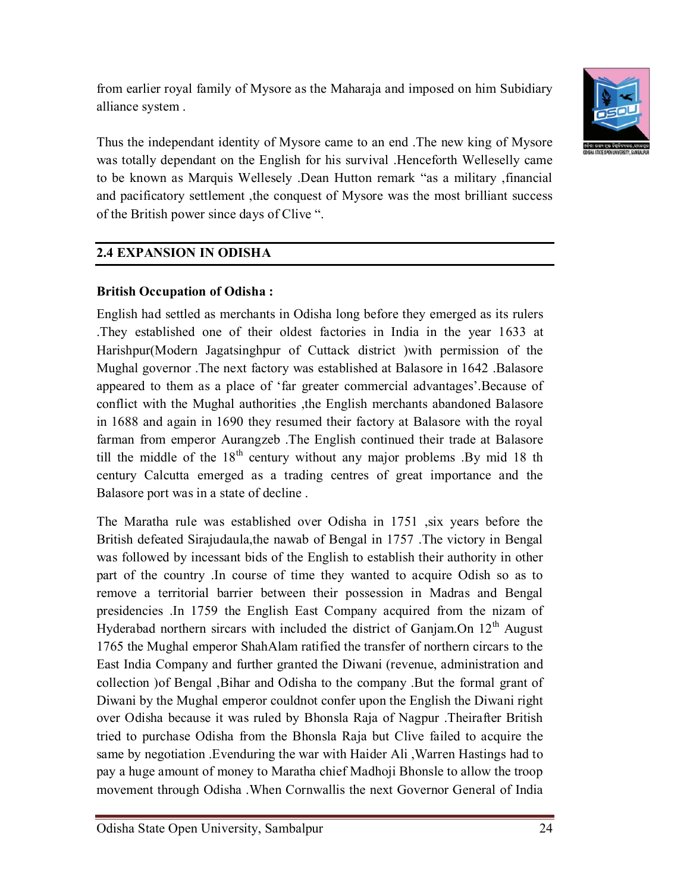from earlier royal family of Mysore as the Maharaja and imposed on him Subidiary alliance system .



Thus the independant identity of Mysore came to an end .The new king of Mysore was totally dependant on the English for his survival .Henceforth Welleselly came to be known as Marquis Wellesely .Dean Hutton remark "as a military ,financial and pacificatory settlement ,the conquest of Mysore was the most brilliant success of the British power since days of Clive ".

# **2.4 EXPANSION IN ODISHA**

### **British Occupation of Odisha :**

English had settled as merchants in Odisha long before they emerged as its rulers .They established one of their oldest factories in India in the year 1633 at Harishpur(Modern Jagatsinghpur of Cuttack district )with permission of the Mughal governor .The next factory was established at Balasore in 1642 .Balasore appeared to them as a place of 'far greater commercial advantages'.Because of conflict with the Mughal authorities ,the English merchants abandoned Balasore in 1688 and again in 1690 they resumed their factory at Balasore with the royal farman from emperor Aurangzeb .The English continued their trade at Balasore till the middle of the  $18<sup>th</sup>$  century without any major problems . By mid 18 th century Calcutta emerged as a trading centres of great importance and the Balasore port was in a state of decline .

The Maratha rule was established over Odisha in 1751, six years before the British defeated Sirajudaula,the nawab of Bengal in 1757 .The victory in Bengal was followed by incessant bids of the English to establish their authority in other part of the country .In course of time they wanted to acquire Odish so as to remove a territorial barrier between their possession in Madras and Bengal presidencies .In 1759 the English East Company acquired from the nizam of Hyderabad northern sircars with included the district of Ganjam.On 12<sup>th</sup> August 1765 the Mughal emperor ShahAlam ratified the transfer of northern circars to the East India Company and further granted the Diwani (revenue, administration and collection )of Bengal ,Bihar and Odisha to the company .But the formal grant of Diwani by the Mughal emperor couldnot confer upon the English the Diwani right over Odisha because it was ruled by Bhonsla Raja of Nagpur .Theirafter British tried to purchase Odisha from the Bhonsla Raja but Clive failed to acquire the same by negotiation .Evenduring the war with Haider Ali ,Warren Hastings had to pay a huge amount of money to Maratha chief Madhoji Bhonsle to allow the troop movement through Odisha .When Cornwallis the next Governor General of India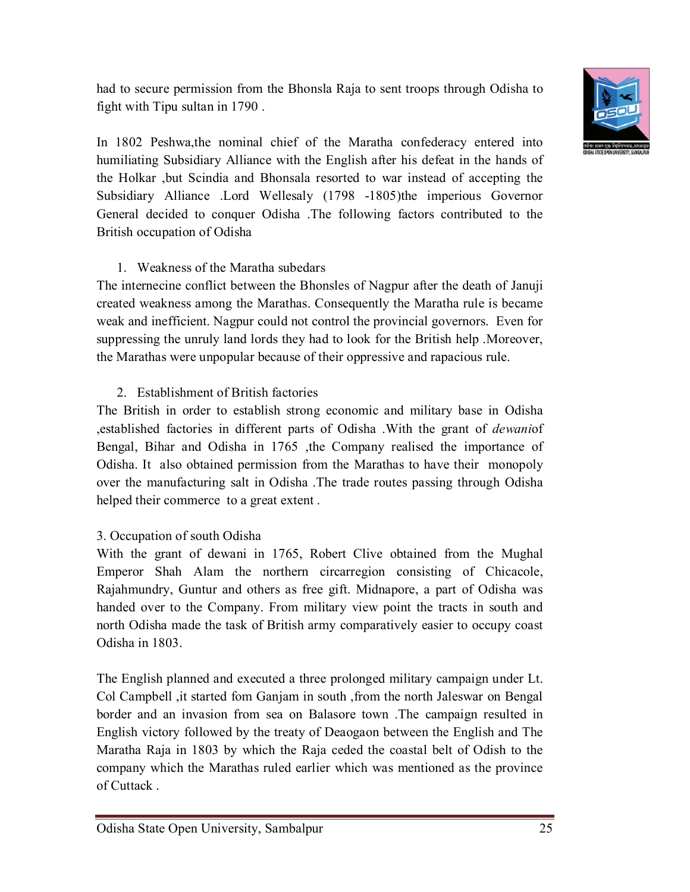had to secure permission from the Bhonsla Raja to sent troops through Odisha to fight with Tipu sultan in 1790 .



In 1802 Peshwa,the nominal chief of the Maratha confederacy entered into humiliating Subsidiary Alliance with the English after his defeat in the hands of the Holkar ,but Scindia and Bhonsala resorted to war instead of accepting the Subsidiary Alliance .Lord Wellesaly (1798 -1805)the imperious Governor General decided to conquer Odisha .The following factors contributed to the British occupation of Odisha

#### 1. Weakness of the Maratha subedars

The internecine conflict between the Bhonsles of Nagpur after the death of Januji created weakness among the Marathas. Consequently the Maratha rule is became weak and inefficient. Nagpur could not control the provincial governors. Even for suppressing the unruly land lords they had to look for the British help .Moreover, the Marathas were unpopular because of their oppressive and rapacious rule.

#### 2. Establishment of British factories

The British in order to establish strong economic and military base in Odisha ,established factories in different parts of Odisha .With the grant of *dewani*of Bengal, Bihar and Odisha in 1765 ,the Company realised the importance of Odisha. It also obtained permission from the Marathas to have their monopoly over the manufacturing salt in Odisha .The trade routes passing through Odisha helped their commerce to a great extent .

#### 3. Occupation of south Odisha

With the grant of dewani in 1765, Robert Clive obtained from the Mughal Emperor Shah Alam the northern circarregion consisting of Chicacole, Rajahmundry, Guntur and others as free gift. Midnapore, a part of Odisha was handed over to the Company. From military view point the tracts in south and north Odisha made the task of British army comparatively easier to occupy coast Odisha in 1803.

The English planned and executed a three prolonged military campaign under Lt. Col Campbell ,it started fom Ganjam in south ,from the north Jaleswar on Bengal border and an invasion from sea on Balasore town .The campaign resulted in English victory followed by the treaty of Deaogaon between the English and The Maratha Raja in 1803 by which the Raja ceded the coastal belt of Odish to the company which the Marathas ruled earlier which was mentioned as the province of Cuttack .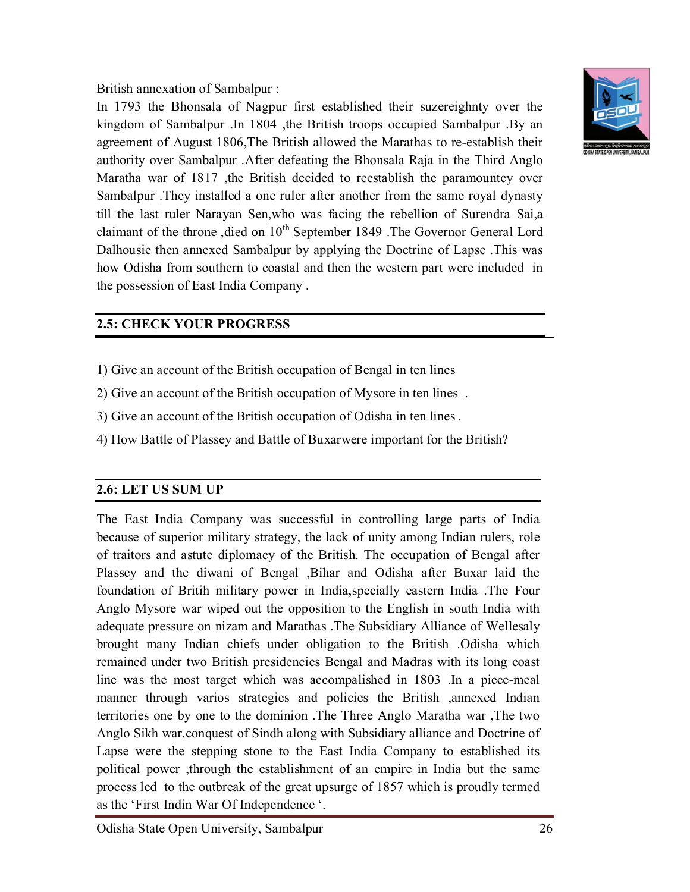British annexation of Sambalpur :

In 1793 the Bhonsala of Nagpur first established their suzereighnty over the kingdom of Sambalpur .In 1804 ,the British troops occupied Sambalpur .By an agreement of August 1806,The British allowed the Marathas to re-establish their authority over Sambalpur .After defeating the Bhonsala Raja in the Third Anglo Maratha war of 1817 ,the British decided to reestablish the paramountcy over Sambalpur .They installed a one ruler after another from the same royal dynasty till the last ruler Narayan Sen,who was facing the rebellion of Surendra Sai,a claimant of the throne ,died on 10<sup>th</sup> September 1849 .The Governor General Lord Dalhousie then annexed Sambalpur by applying the Doctrine of Lapse .This was how Odisha from southern to coastal and then the western part were included in the possession of East India Company .



# **2.5: CHECK YOUR PROGRESS**

- 1) Give an account of the British occupation of Bengal in ten lines
- 2) Give an account of the British occupation of Mysore in ten lines .
- 3) Give an account of the British occupation of Odisha in ten lines .
- 4) How Battle of Plassey and Battle of Buxarwere important for the British?

### **2.6: LET US SUM UP**

The East India Company was successful in controlling large parts of India because of superior military strategy, the lack of unity among Indian rulers, role of traitors and astute diplomacy of the British. The occupation of Bengal after Plassey and the diwani of Bengal ,Bihar and Odisha after Buxar laid the foundation of Britih military power in India,specially eastern India .The Four Anglo Mysore war wiped out the opposition to the English in south India with adequate pressure on nizam and Marathas .The Subsidiary Alliance of Wellesaly brought many Indian chiefs under obligation to the British .Odisha which remained under two British presidencies Bengal and Madras with its long coast line was the most target which was accompalished in 1803 .In a piece-meal manner through varios strategies and policies the British ,annexed Indian territories one by one to the dominion .The Three Anglo Maratha war ,The two Anglo Sikh war,conquest of Sindh along with Subsidiary alliance and Doctrine of Lapse were the stepping stone to the East India Company to established its political power ,through the establishment of an empire in India but the same process led to the outbreak of the great upsurge of 1857 which is proudly termed as the 'First Indin War Of Independence '.